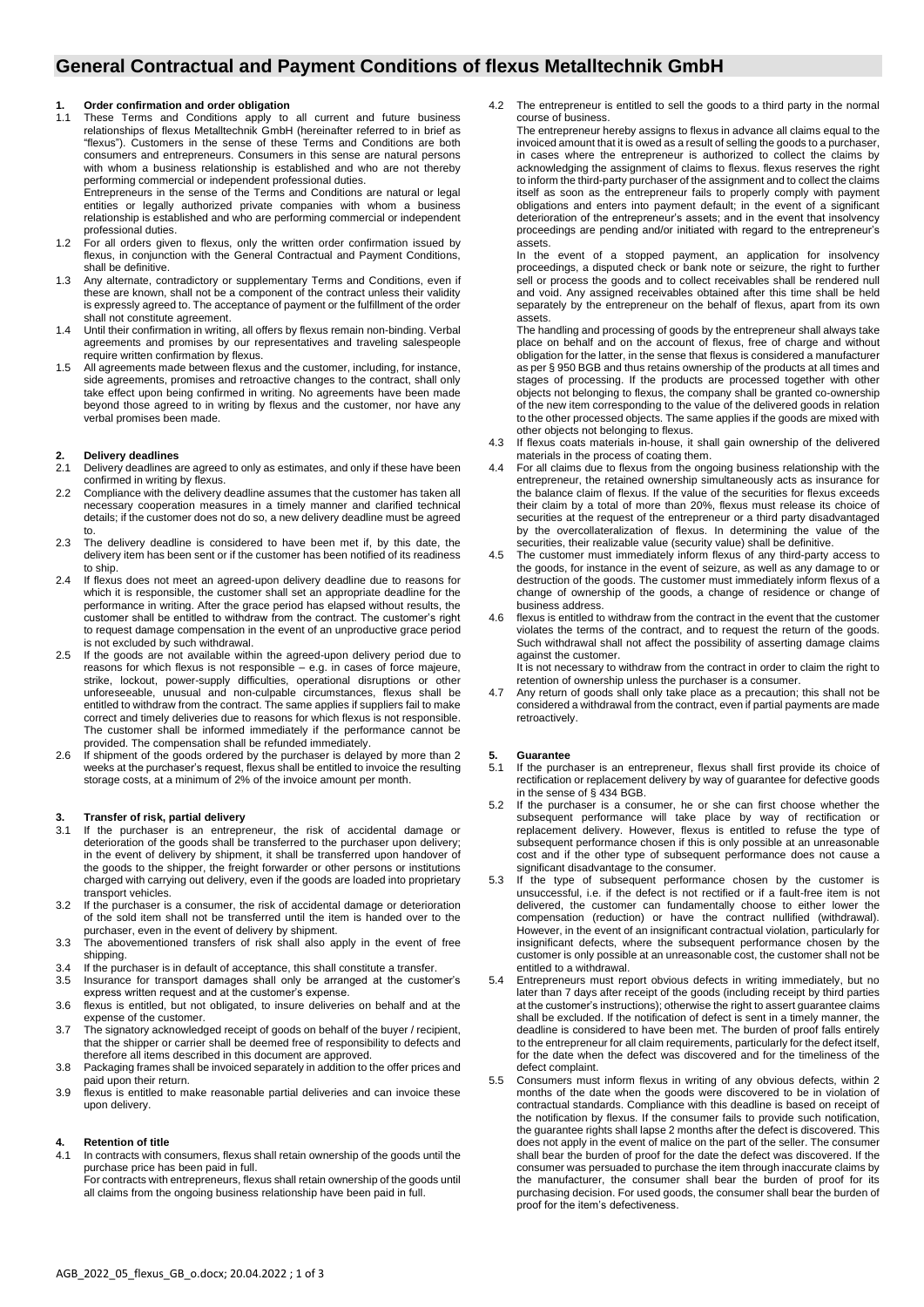# **General Contractual and Payment Conditions of flexus Metalltechnik GmbH**

### **1. Order confirmation and order obligation**

1.1 These Terms and Conditions apply to all current and future business relationships of flexus Metalltechnik GmbH (hereinafter referred to in brief as "flexus"). Customers in the sense of these Terms and Conditions are both consumers and entrepreneurs. Consumers in this sense are natural persons with whom a business relationship is established and who are not thereby performing commercial or independent professional duties. Entrepreneurs in the sense of the Terms and Conditions are natural or legal

entities or legally authorized private companies with whom a business relationship is established and who are performing commercial or independent professional duties.

- 1.2 For all orders given to flexus, only the written order confirmation issued by flexus, in conjunction with the General Contractual and Payment Conditions, shall be definitive.
- 1.3 Any alternate, contradictory or supplementary Terms and Conditions, even if these are known, shall not be a component of the contract unless their validity is expressly agreed to. The acceptance of payment or the fulfillment of the order shall not constitute agreement.
- 1.4 Until their confirmation in writing, all offers by flexus remain non-binding. Verbal agreements and promises by our representatives and traveling salespeople require written confirmation by flexus.
- 1.5 All agreements made between flexus and the customer, including, for instance, side agreements, promises and retroactive changes to the contract, shall only take effect upon being confirmed in writing. No agreements have been made beyond those agreed to in writing by flexus and the customer, nor have any verbal promises been made.

# **2. Delivery deadlines**

- Delivery deadlines are agreed to only as estimates, and only if these have been confirmed in writing by flexus.
- 2.2 Compliance with the delivery deadline assumes that the customer has taken all necessary cooperation measures in a timely manner and clarified technical details; if the customer does not do so, a new delivery deadline must be agreed to.
- 2.3 The delivery deadline is considered to have been met if, by this date, the delivery item has been sent or if the customer has been notified of its readiness to ship.
- 2.4 If flexus does not meet an agreed-upon delivery deadline due to reasons for which it is responsible, the customer shall set an appropriate deadline for the performance in writing. After the grace period has elapsed without results, the customer shall be entitled to withdraw from the contract. The customer's right to request damage compensation in the event of an unproductive grace period is not excluded by such withdrawal.
- 2.5 If the goods are not available within the agreed-upon delivery period due to reasons for which flexus is not responsible – e.g. in cases of force majeure, strike, lockout, power-supply difficulties, operational disruptions or other unforeseeable, unusual and non-culpable circumstances, flexus shall be entitled to withdraw from the contract. The same applies if suppliers fail to make correct and timely deliveries due to reasons for which flexus is not responsible. The customer shall be informed immediately if the performance cannot be provided. The compensation shall be refunded immediately.
- 2.6 If shipment of the goods ordered by the purchaser is delayed by more than 2 weeks at the purchaser's request, flexus shall be entitled to invoice the resulting storage costs, at a minimum of 2% of the invoice amount per month.

#### **3. Transfer of risk, partial delivery**

- 3.1 If the purchaser is an entrepreneur, the risk of accidental damage or deterioration of the goods shall be transferred to the purchaser upon delivery; in the event of delivery by shipment, it shall be transferred upon handover of the goods to the shipper, the freight forwarder or other persons or institutions charged with carrying out delivery, even if the goods are loaded into proprietary transport vehicles.
- 3.2 If the purchaser is a consumer, the risk of accidental damage or deterioration of the sold item shall not be transferred until the item is handed over to the purchaser, even in the event of delivery by shipment.
- 3.3 The abovementioned transfers of risk shall also apply in the event of free shipping.
- 3.4 If the purchaser is in default of acceptance, this shall constitute a transfer.
- 3.5 Insurance for transport damages shall only be arranged at the customer's express written request and at the customer's expense.
- 3.6 flexus is entitled, but not obligated, to insure deliveries on behalf and at the expense of the customer.
- 3.7 The signatory acknowledged receipt of goods on behalf of the buyer / recipient, that the shipper or carrier shall be deemed free of responsibility to defects and therefore all items described in this document are approved.
- 3.8 Packaging frames shall be invoiced separately in addition to the offer prices and paid upon their return.
- 3.9 flexus is entitled to make reasonable partial deliveries and can invoice these upon delivery.

### **4. Retention of title**

4.1 In contracts with consumers, flexus shall retain ownership of the goods until the purchase price has been paid in full.

For contracts with entrepreneurs, flexus shall retain ownership of the goods until all claims from the ongoing business relationship have been paid in full.

4.2 The entrepreneur is entitled to sell the goods to a third party in the normal course of business.

The entrepreneur hereby assigns to flexus in advance all claims equal to the invoiced amount that it is owed as a result of selling the goods to a purchaser, in cases where the entrepreneur is authorized to collect the claims by acknowledging the assignment of claims to flexus. flexus reserves the right to inform the third-party purchaser of the assignment and to collect the claims itself as soon as the entrepreneur fails to properly comply with payment obligations and enters into payment default; in the event of a significant deterioration of the entrepreneur's assets; and in the event that insolvency proceedings are pending and/or initiated with regard to the entrepreneur's assets.

In the event of a stopped payment, an application for insolvency proceedings, a disputed check or bank note or seizure, the right to further sell or process the goods and to collect receivables shall be rendered null and void. Any assigned receivables obtained after this time shall be held separately by the entrepreneur on the behalf of flexus, apart from its own assets.

The handling and processing of goods by the entrepreneur shall always take place on behalf and on the account of flexus, free of charge and without obligation for the latter, in the sense that flexus is considered a manufacturer as per § 950 BGB and thus retains ownership of the products at all times and stages of processing. If the products are processed together with other objects not belonging to flexus, the company shall be granted co-ownership of the new item corresponding to the value of the delivered goods in relation to the other processed objects. The same applies if the goods are mixed with other objects not belonging to flexus.

- 4.3 If flexus coats materials in-house, it shall gain ownership of the delivered materials in the process of coating them.
- 4.4 For all claims due to flexus from the ongoing business relationship with the entrepreneur, the retained ownership simultaneously acts as insurance for the balance claim of flexus. If the value of the securities for flexus exceeds their claim by a total of more than 20%, flexus must release its choice of securities at the request of the entrepreneur or a third party disadvantaged by the overcollateralization of flexus. In determining the value of the securities, their realizable value (security value) shall be definitive.
- 4.5 The customer must immediately inform flexus of any third-party access to the goods, for instance in the event of seizure, as well as any damage to or destruction of the goods. The customer must immediately inform flexus of a change of ownership of the goods, a change of residence or change of business address.
- flexus is entitled to withdraw from the contract in the event that the customer violates the terms of the contract, and to request the return of the goods. Such withdrawal shall not affect the possibility of asserting damage claims against the customer. It is not necessary to withdraw from the contract in order to claim the right to

retention of ownership unless the purchaser is a consumer.

4.7 Any return of goods shall only take place as a precaution; this shall not be considered a withdrawal from the contract, even if partial payments are made retroactively.

### **5. Guarantee**

- 5.1 If the purchaser is an entrepreneur, flexus shall first provide its choice of rectification or replacement delivery by way of guarantee for defective goods in the sense of § 434 BGB.
- 5.2 If the purchaser is a consumer, he or she can first choose whether the subsequent performance will take place by way of rectification or replacement delivery. However, flexus is entitled to refuse the type of subsequent performance chosen if this is only possible at an unreasonable cost and if the other type of subsequent performance does not cause a significant disadvantage to the consumer.
- 5.3 If the type of subsequent performance chosen by the customer is unsuccessful, i.e. if the defect is not rectified or if a fault-free item is not delivered, the customer can fundamentally choose to either lower the compensation (reduction) or have the contract nullified (withdrawal). However, in the event of an insignificant contractual violation, particularly for insignificant defects, where the subsequent performance chosen by the customer is only possible at an unreasonable cost, the customer shall not be entitled to a withdrawal.
- 5.4 Entrepreneurs must report obvious defects in writing immediately, but no later than 7 days after receipt of the goods (including receipt by third parties at the customer's instructions); otherwise the right to assert guarantee claims shall be excluded. If the notification of defect is sent in a timely manner, the deadline is considered to have been met. The burden of proof falls entirely to the entrepreneur for all claim requirements, particularly for the defect itself, for the date when the defect was discovered and for the timeliness of the defect complaint.
- 5.5 Consumers must inform flexus in writing of any obvious defects, within 2 months of the date when the goods were discovered to be in violation of contractual standards. Compliance with this deadline is based on receipt of the notification by flexus. If the consumer fails to provide such notification, the guarantee rights shall lapse 2 months after the defect is discovered. This does not apply in the event of malice on the part of the seller. The consumer shall bear the burden of proof for the date the defect was discovered. If the consumer was persuaded to purchase the item through inaccurate claims by the manufacturer, the consumer shall bear the burden of proof for its purchasing decision. For used goods, the consumer shall bear the burden of proof for the item's defectiveness.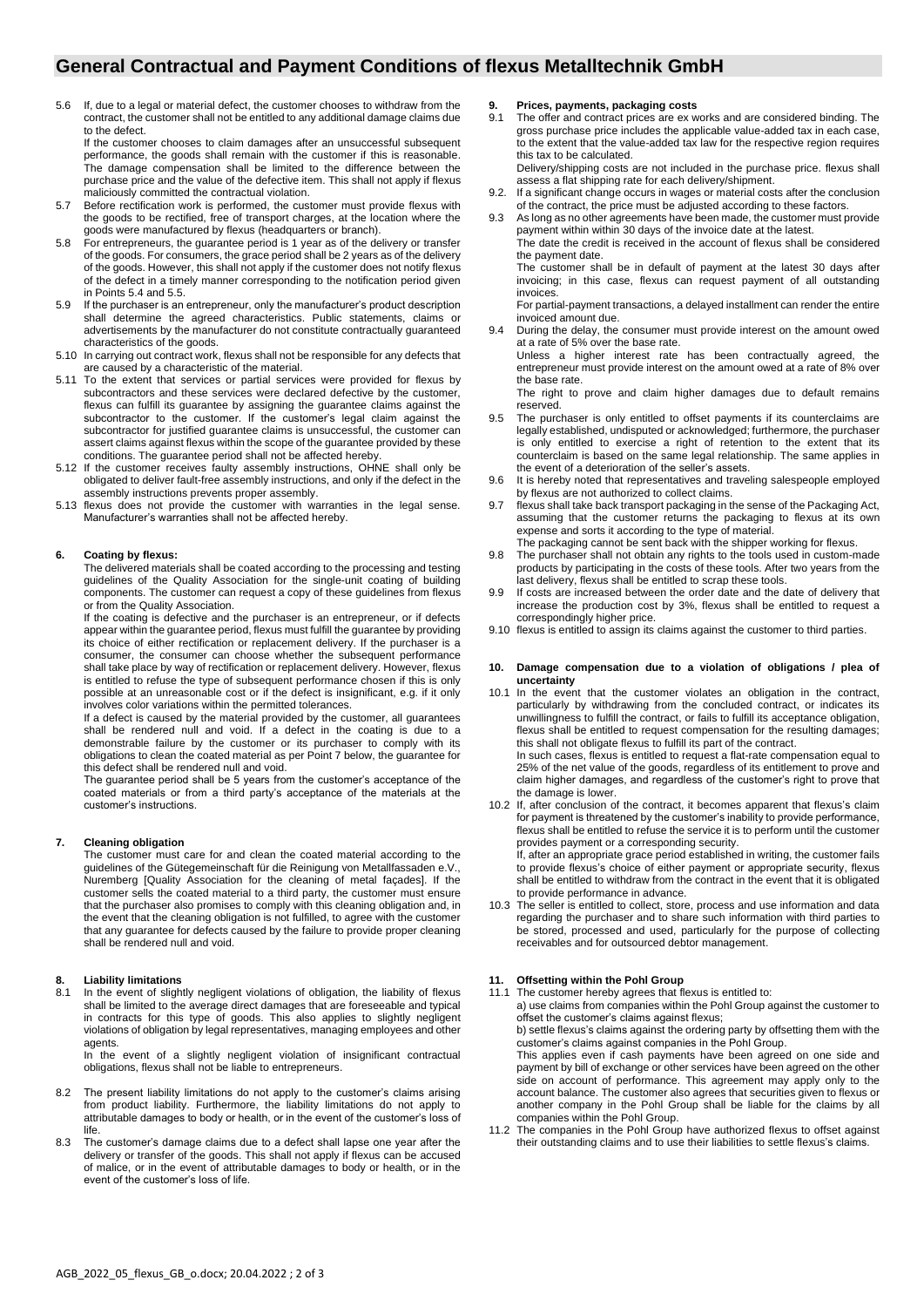# **General Contractual and Payment Conditions of flexus Metalltechnik GmbH**

5.6 If, due to a legal or material defect, the customer chooses to withdraw from the contract, the customer shall not be entitled to any additional damage claims due to the defect.

If the customer chooses to claim damages after an unsuccessful subsequent performance, the goods shall remain with the customer if this is reasonable. The damage compensation shall be limited to the difference between the purchase price and the value of the defective item. This shall not apply if flexus maliciously committed the contractual violation.

- 5.7 Before rectification work is performed, the customer must provide flexus with the goods to be rectified, free of transport charges, at the location where the goods were manufactured by flexus (headquarters or branch).
- 5.8 For entrepreneurs, the guarantee period is 1 year as of the delivery or transfer of the goods. For consumers, the grace period shall be 2 years as of the delivery of the goods. However, this shall not apply if the customer does not notify flexus of the defect in a timely manner corresponding to the notification period given in Points 5.4 and 5.5.
- 5.9 If the purchaser is an entrepreneur, only the manufacturer's product description shall determine the agreed characteristics. Public statements, claims or advertisements by the manufacturer do not constitute contractually guaranteed characteristics of the goods.
- 5.10 In carrying out contract work, flexus shall not be responsible for any defects that are caused by a characteristic of the material.
- 5.11 To the extent that services or partial services were provided for flexus by subcontractors and these services were declared defective by the customer, flexus can fulfill its guarantee by assigning the guarantee claims against the subcontractor to the customer. If the customer's legal claim against the subcontractor for justified guarantee claims is unsuccessful, the customer can assert claims against flexus within the scope of the guarantee provided by these conditions. The guarantee period shall not be affected hereby.
- 5.12 If the customer receives faulty assembly instructions, OHNE shall only be obligated to deliver fault-free assembly instructions, and only if the defect in the assembly instructions prevents proper assembly.
- 5.13 flexus does not provide the customer with warranties in the legal sense. Manufacturer's warranties shall not be affected hereby.

## **6. Coating by flexus:**

The delivered materials shall be coated according to the processing and testing guidelines of the Quality Association for the single-unit coating of building components. The customer can request a copy of these guidelines from flexus or from the Quality Association.

If the coating is defective and the purchaser is an entrepreneur, or if defects appear within the guarantee period, flexus must fulfill the guarantee by providing its choice of either rectification or replacement delivery. If the purchaser is a consumer, the consumer can choose whether the subsequent performance shall take place by way of rectification or replacement delivery. However, flexus is entitled to refuse the type of subsequent performance chosen if this is only possible at an unreasonable cost or if the defect is insignificant, e.g. if it only involves color variations within the permitted tolerances.

If a defect is caused by the material provided by the customer, all guarantees shall be rendered null and void. If a defect in the coating is due to a demonstrable failure by the customer or its purchaser to comply with its obligations to clean the coated material as per Point 7 below, the guarantee for this defect shall be rendered null and void.

The guarantee period shall be 5 years from the customer's acceptance of the coated materials or from a third party's acceptance of the materials at the customer's instructions.

### **7. Cleaning obligation**

The customer must care for and clean the coated material according to the guidelines of the Gütegemeinschaft für die Reinigung von Metallfassaden e.V., Nuremberg [Quality Association for the cleaning of metal façades]. If the customer sells the coated material to a third party, the customer must ensure that the purchaser also promises to comply with this cleaning obligation and, in the event that the cleaning obligation is not fulfilled, to agree with the customer that any guarantee for defects caused by the failure to provide proper cleaning shall be rendered null and void.

# **8. Liability limitations**

In the event of slightly negligent violations of obligation, the liability of flexus shall be limited to the average direct damages that are foreseeable and typical in contracts for this type of goods. This also applies to slightly negligent violations of obligation by legal representatives, managing employees and other agents.

In the event of a slightly negligent violation of insignificant contractual obligations, flexus shall not be liable to entrepreneurs.

- 8.2 The present liability limitations do not apply to the customer's claims arising from product liability. Furthermore, the liability limitations do not apply to attributable damages to body or health, or in the event of the customer's loss of life.
- 8.3 The customer's damage claims due to a defect shall lapse one year after the delivery or transfer of the goods. This shall not apply if flexus can be accused of malice, or in the event of attributable damages to body or health, or in the event of the customer's loss of life.

#### **9. Prices, payments, packaging costs**

9.1 The offer and contract prices are ex works and are considered binding. The gross purchase price includes the applicable value-added tax in each case, to the extent that the value-added tax law for the respective region requires this tax to be calculated.

Delivery/shipping costs are not included in the purchase price. flexus shall assess a flat shipping rate for each delivery/shipment.

- 9.2. If a significant change occurs in wages or material costs after the conclusion of the contract, the price must be adjusted according to these factors.
- As long as no other agreements have been made, the customer must provide payment within within 30 days of the invoice date at the latest. The date the credit is received in the account of flexus shall be considered the payment date.

The customer shall be in default of payment at the latest 30 days after invoicing; in this case, flexus can request payment of all outstanding invoices.

For partial-payment transactions, a delayed installment can render the entire invoiced amount due.

During the delay, the consumer must provide interest on the amount owed at a rate of 5% over the base rate.

Unless a higher interest rate has been contractually agreed, the entrepreneur must provide interest on the amount owed at a rate of 8% over the base rate.

The right to prove and claim higher damages due to default remains reserved.

- 9.5 The purchaser is only entitled to offset payments if its counterclaims are legally established, undisputed or acknowledged; furthermore, the purchaser is only entitled to exercise a right of retention to the extent that its counterclaim is based on the same legal relationship. The same applies in the event of a deterioration of the seller's assets.
- 9.6 It is hereby noted that representatives and traveling salespeople employed by flexus are not authorized to collect claims.
- 9.7 flexus shall take back transport packaging in the sense of the Packaging Act, assuming that the customer returns the packaging to flexus at its own expense and sorts it according to the type of material.
- The packaging cannot be sent back with the shipper working for flexus. 9.8 The purchaser shall not obtain any rights to the tools used in custom-made products by participating in the costs of these tools. After two years from the last delivery, flexus shall be entitled to scrap these tools.
- 9.9 If costs are increased between the order date and the date of delivery that increase the production cost by 3%, flexus shall be entitled to request a correspondingly higher price.
- 9.10 flexus is entitled to assign its claims against the customer to third parties.

### **10. Damage compensation due to a violation of obligations / plea of uncertainty**

10.1 In the event that the customer violates an obligation in the contract, particularly by withdrawing from the concluded contract, or indicates its unwillingness to fulfill the contract, or fails to fulfill its acceptance obligation, flexus shall be entitled to request compensation for the resulting damages; this shall not obligate flexus to fulfill its part of the contract.

In such cases, flexus is entitled to request a flat-rate compensation equal to 25% of the net value of the goods, regardless of its entitlement to prove and claim higher damages, and regardless of the customer's right to prove that the damage is lower.

10.2 If, after conclusion of the contract, it becomes apparent that flexus's claim for payment is threatened by the customer's inability to provide performance, flexus shall be entitled to refuse the service it is to perform until the customer provides payment or a corresponding security.

If, after an appropriate grace period established in writing, the customer fails to provide flexus's choice of either payment or appropriate security, flexus shall be entitled to withdraw from the contract in the event that it is obligated to provide performance in advance.

10.3 The seller is entitled to collect, store, process and use information and data regarding the purchaser and to share such information with third parties to be stored, processed and used, particularly for the purpose of collecting receivables and for outsourced debtor management.

# **11. Offsetting within the Pohl Group**

The customer hereby agrees that flexus is entitled to: a) use claims from companies within the Pohl Group against the customer to offset the customer's claims against flexus; b) settle flexus's claims against the ordering party by offsetting them with the customer's claims against companies in the Pohl Group.

This applies even if cash payments have been agreed on one side and payment by bill of exchange or other services have been agreed on the other side on account of performance. This agreement may apply only to the account balance. The customer also agrees that securities given to flexus or another company in the Pohl Group shall be liable for the claims by all companies within the Pohl Group.

11.2 The companies in the Pohl Group have authorized flexus to offset against their outstanding claims and to use their liabilities to settle flexus's claims.